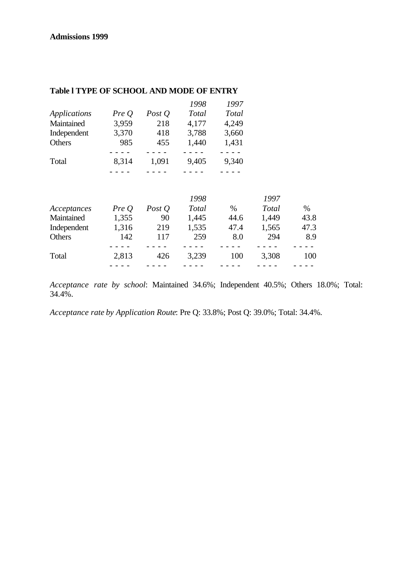|              |       |          | 1998  | 1997  |  |
|--------------|-------|----------|-------|-------|--|
| Applications | PreQ  | Post $Q$ | Total | Total |  |
| Maintained   | 3,959 | 218      | 4,177 | 4,249 |  |
| Independent  | 3,370 | 418      | 3,788 | 3,660 |  |
| Others       | 985   | 455      | 1,440 | 1,431 |  |
|              |       |          |       |       |  |
| Total        | 8,314 | 1,091    | 9,405 | 9,340 |  |
|              |       |          |       |       |  |
|              |       |          |       |       |  |

# **Table l TYPE OF SCHOOL AND MODE OF ENTRY**

|             |       |          | 1998  |      | 1997         |      |
|-------------|-------|----------|-------|------|--------------|------|
| Acceptances | Pre O | Post $Q$ | Total | $\%$ | <b>Total</b> | $\%$ |
| Maintained  | 1,355 | 90       | 1,445 | 44.6 | 1,449        | 43.8 |
| Independent | 1,316 | 219      | 1,535 | 47.4 | 1,565        | 47.3 |
| Others      | 142   | 117      | 259   | 8.0  | 294          | 8.9  |
|             |       |          |       |      |              |      |
| Total       | 2,813 | 426      | 3,239 | 100  | 3,308        | 100  |
|             |       |          |       |      |              |      |

*Acceptance rate by school*: Maintained 34.6%; Independent 40.5%; Others 18.0%; Total: 34.4%.

*Acceptance rate by Application Route*: Pre Q: 33.8%; Post Q: 39.0%; Total: 34.4%.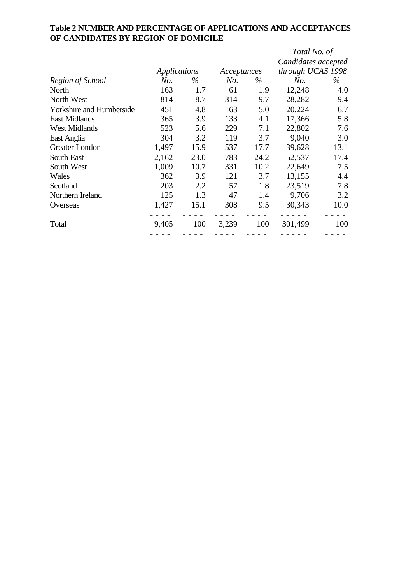|                                 |                     |      |             |      | Total No. of        |      |
|---------------------------------|---------------------|------|-------------|------|---------------------|------|
|                                 |                     |      |             |      | Candidates accepted |      |
|                                 | <b>Applications</b> |      | Acceptances |      | through UCAS 1998   |      |
| Region of School                | No.                 | $\%$ | No.         | $\%$ | No.                 | $\%$ |
| North                           | 163                 | 1.7  | 61          | 1.9  | 12,248              | 4.0  |
| North West                      | 814                 | 8.7  | 314         | 9.7  | 28,282              | 9.4  |
| <b>Yorkshire and Humberside</b> | 451                 | 4.8  | 163         | 5.0  | 20,224              | 6.7  |
| <b>East Midlands</b>            | 365                 | 3.9  | 133         | 4.1  | 17,366              | 5.8  |
| <b>West Midlands</b>            | 523                 | 5.6  | 229         | 7.1  | 22,802              | 7.6  |
| East Anglia                     | 304                 | 3.2  | 119         | 3.7  | 9,040               | 3.0  |
| Greater London                  | 1,497               | 15.9 | 537         | 17.7 | 39,628              | 13.1 |
| South East                      | 2,162               | 23.0 | 783         | 24.2 | 52,537              | 17.4 |
| South West                      | 1,009               | 10.7 | 331         | 10.2 | 22,649              | 7.5  |
| Wales                           | 362                 | 3.9  | 121         | 3.7  | 13,155              | 4.4  |
| Scotland                        | 203                 | 2.2  | 57          | 1.8  | 23,519              | 7.8  |
| Northern Ireland                | 125                 | 1.3  | 47          | 1.4  | 9,706               | 3.2  |
| Overseas                        | 1,427               | 15.1 | 308         | 9.5  | 30,343              | 10.0 |
| Total                           | 9,405               | 100  | 3,239       | 100  | 301,499             | 100  |
|                                 |                     |      |             |      |                     |      |

# **Table 2 NUMBER AND PERCENTAGE OF APPLICATIONS AND ACCEPTANCES OF CANDIDATES BY REGION OF DOMICILE**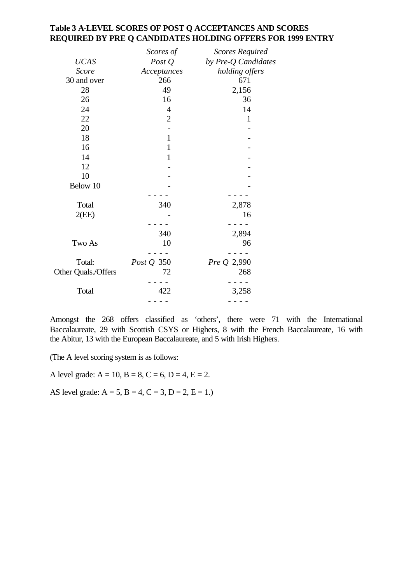### **Table 3 A-LEVEL SCORES OF POST Q ACCEPTANCES AND SCORES REQUIRED BY PRE Q CANDIDATES HOLDING OFFERS FOR 1999 ENTRY**

|                     | Scores of         | <b>Scores Required</b> |
|---------------------|-------------------|------------------------|
| <b>UCAS</b>         | Post $Q$          | by Pre-Q Candidates    |
| <b>Score</b>        | Acceptances       | holding offers         |
| 30 and over         | 266               | 671                    |
| 28                  | 49                | 2,156                  |
| 26                  | 16                | 36                     |
| 24                  | $\overline{4}$    | 14                     |
| 22                  | $\overline{2}$    | $\mathbf{1}$           |
| 20                  |                   |                        |
| 18                  | $\mathbf{1}$      |                        |
| 16                  | $\mathbf 1$       |                        |
| 14                  | $\mathbf{1}$      |                        |
| 12                  |                   |                        |
| 10                  |                   |                        |
| Below 10            |                   |                        |
|                     |                   |                        |
| Total               | 340               | 2,878                  |
| 2(EE)               |                   | 16                     |
|                     |                   |                        |
|                     | 340               | 2,894                  |
| Two As              | 10                | 96                     |
|                     |                   |                        |
| Total:              | <i>Post Q</i> 350 | Pre Q 2,990            |
| Other Quals./Offers | 72                | 268                    |
|                     |                   |                        |
| Total               | 422               | 3,258                  |
|                     |                   |                        |

Amongst the 268 offers classified as 'others', there were 71 with the International Baccalaureate, 29 with Scottish CSYS or Highers, 8 with the French Baccalaureate, 16 with the Abitur, 13 with the European Baccalaureate, and 5 with Irish Highers.

(The A level scoring system is as follows:

A level grade:  $A = 10$ ,  $B = 8$ ,  $C = 6$ ,  $D = 4$ ,  $E = 2$ .

AS level grade:  $A = 5$ ,  $B = 4$ ,  $C = 3$ ,  $D = 2$ ,  $E = 1$ .)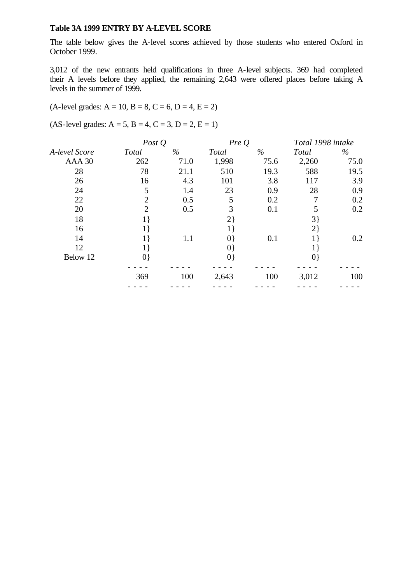### **Table 3A 1999 ENTRY BY A-LEVEL SCORE**

The table below gives the A-level scores achieved by those students who entered Oxford in October 1999.

3,012 of the new entrants held qualifications in three A-level subjects. 369 had completed their A levels before they applied, the remaining 2,643 were offered places before taking A levels in the summer of 1999.

### $(A$ -level grades:  $A = 10$ ,  $B = 8$ ,  $C = 6$ ,  $D = 4$ ,  $E = 2$ )

 $(AS-level grades: A = 5, B = 4, C = 3, D = 2, E = 1)$ 

|               |                | Post $Q$ |             | PreQ | Total 1998 intake |      |
|---------------|----------------|----------|-------------|------|-------------------|------|
| A-level Score | <b>Total</b>   | $\%$     | Total       | $\%$ | Total             | $\%$ |
| AAA 30        | 262            | 71.0     | 1,998       | 75.6 | 2,260             | 75.0 |
| 28            | 78             | 21.1     | 510         | 19.3 | 588               | 19.5 |
| 26            | 16             | 4.3      | 101         | 3.8  | 117               | 3.9  |
| 24            | 5              | 1.4      | 23          | 0.9  | 28                | 0.9  |
| 22            | $\overline{2}$ | 0.5      | 5           | 0.2  | 7                 | 0.2  |
| 20            | $\overline{2}$ | 0.5      | 3           | 0.1  | 5                 | 0.2  |
| 18            | $1\}$          |          | $2\}$       |      | $3\}$             |      |
| 16            | 1 }            |          | 1 }         |      | $2\}$             |      |
| 14            |                | 1.1      | $ 0\rangle$ | 0.1  |                   | 0.2  |
| 12            | 1 }            |          | $ 0\rangle$ |      |                   |      |
| Below 12      | 0}             |          | 0}          |      | $ 0\rangle$       |      |
|               |                |          |             |      |                   |      |
|               | 369            | 100      | 2,643       | 100  | 3,012             | 100  |
|               |                |          |             |      |                   |      |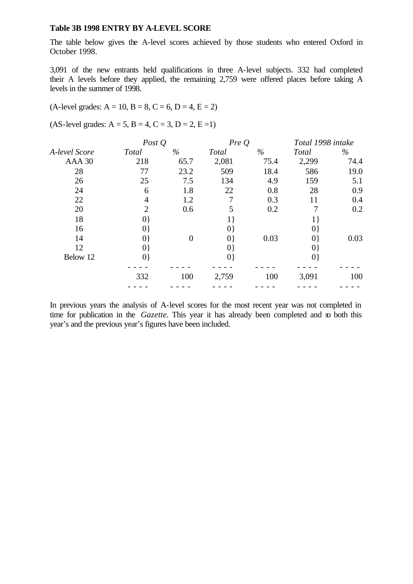#### **Table 3B 1998 ENTRY BY A-LEVEL SCORE**

The table below gives the A-level scores achieved by those students who entered Oxford in October 1998.

3,091 of the new entrants held qualifications in three A-level subjects. 332 had completed their A levels before they applied, the remaining 2,759 were offered places before taking A levels in the summer of 1998.

#### $(A$ -level grades:  $A = 10$ ,  $B = 8$ ,  $C = 6$ ,  $D = 4$ ,  $E = 2$ )

 $(AS-level grades: A = 5, B = 4, C = 3, D = 2, E = 1)$ 

|               |                | Post $Q$ |              | PreQ | Total 1998 intake |      |
|---------------|----------------|----------|--------------|------|-------------------|------|
| A-level Score | <b>Total</b>   | $\%$     | <b>Total</b> | $\%$ | Total             | $\%$ |
| AAA 30        | 218            | 65.7     | 2,081        | 75.4 | 2,299             | 74.4 |
| 28            | 77             | 23.2     | 509          | 18.4 | 586               | 19.0 |
| 26            | 25             | 7.5      | 134          | 4.9  | 159               | 5.1  |
| 24            | 6              | 1.8      | 22           | 0.8  | 28                | 0.9  |
| 22            | 4              | 1.2      |              | 0.3  | 11                | 0.4  |
| 20            | $\overline{2}$ | 0.6      | 5            | 0.2  | 7                 | 0.2  |
| 18            | $ 0\rangle$    |          | $1 \}$       |      | $1\}$             |      |
| 16            | $ 0\rangle$    |          | $ 0\rangle$  |      | $ 0\rangle$       |      |
| 14            | $ 0\rangle$    | $\theta$ | $ 0\rangle$  | 0.03 | $ 0\rangle$       | 0.03 |
| 12            | $ 0\rangle$    |          | $ 0\rangle$  |      | $ 0\rangle$       |      |
| Below 12      | $ 0\rangle$    |          | $ 0\rangle$  |      | $ 0\rangle$       |      |
|               |                |          |              |      |                   |      |
|               | 332            | 100      | 2,759        | 100  | 3,091             | 100  |
|               |                |          |              |      |                   |      |

In previous years the analysis of A-level scores for the most recent year was not completed in time for publication in the *Gazette*. This year it has already been completed and so both this year's and the previous year's figures have been included.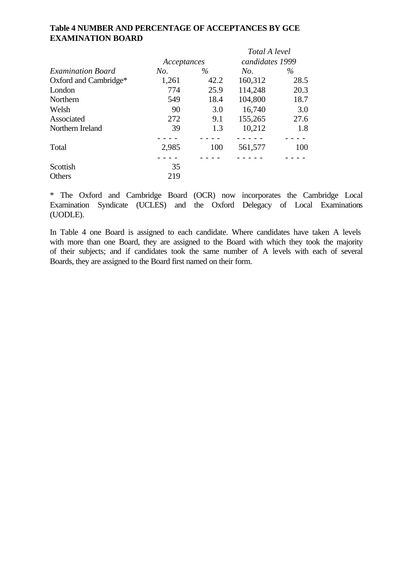# **Table 4 NUMBER AND PERCENTAGE OF ACCEPTANCES BY GCE EXAMINATION BOARD**

|                          |             |      | Total A level   |      |
|--------------------------|-------------|------|-----------------|------|
|                          | Acceptances |      | candidates 1999 |      |
| <b>Examination Board</b> | No.         | $\%$ | No.             | $\%$ |
| Oxford and Cambridge*    | 1,261       | 42.2 | 160,312         | 28.5 |
| London                   | 774         | 25.9 | 114,248         | 20.3 |
| Northern                 | 549         | 18.4 | 104,800         | 18.7 |
| Welsh                    | 90          | 3.0  | 16,740          | 3.0  |
| Associated               | 272         | 9.1  | 155,265         | 27.6 |
| Northern Ireland         | 39          | 1.3  | 10,212          | 1.8  |
|                          |             |      |                 |      |
| Total                    | 2,985       | 100  | 561,577         | 100  |
|                          |             |      |                 |      |
| Scottish                 | 35          |      |                 |      |
| <b>Others</b>            | 219         |      |                 |      |

\* The Oxford and Cambridge Board (OCR) now incorporates the Cambridge Local Examination Syndicate (UCLES) and the Oxford Delegacy of Local Examinations (UODLE).

In Table 4 one Board is assigned to each candidate. Where candidates have taken A levels with more than one Board, they are assigned to the Board with which they took the majority of their subjects; and if candidates took the same number of A levels with each of several Boards, they are assigned to the Board first named on their form.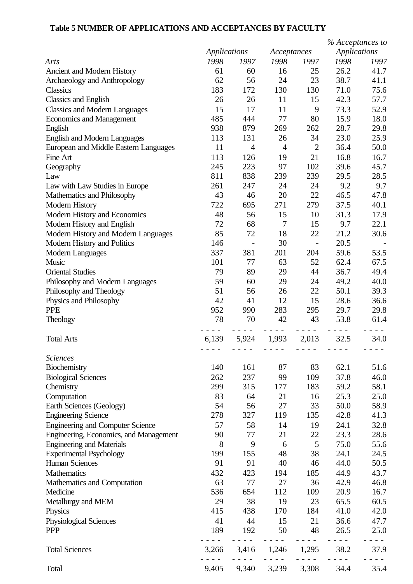# **Table 5 NUMBER OF APPLICATIONS AND ACCEPTANCES BY FACULTY**

|                                             |              |                          |                |                          | % Acceptances to    |                          |
|---------------------------------------------|--------------|--------------------------|----------------|--------------------------|---------------------|--------------------------|
|                                             | Applications |                          | Acceptances    |                          | <b>Applications</b> |                          |
| Arts                                        | 1998         | 1997                     | 1998           | 1997                     | 1998                | 1997                     |
| Ancient and Modern History                  | 61           | 60                       | 16             | 25                       | 26.2                | 41.7                     |
| Archaeology and Anthropology                | 62           | 56                       | 24             | 23                       | 38.7                | 41.1                     |
| <b>Classics</b>                             | 183          | 172                      | 130            | 130                      | 71.0                | 75.6                     |
| <b>Classics and English</b>                 | 26           | 26                       | 11             | 15                       | 42.3                | 57.7                     |
| <b>Classics and Modern Languages</b>        | 15           | 17                       | 11             | 9                        | 73.3                | 52.9                     |
| <b>Economics and Management</b>             | 485          | 444                      | 77             | 80                       | 15.9                | 18.0                     |
| English                                     | 938          | 879                      | 269            | 262                      | 28.7                | 29.8                     |
| <b>English and Modern Languages</b>         | 113          | 131                      | 26             | 34                       | 23.0                | 25.9                     |
| European and Middle Eastern Languages       | 11           | $\overline{4}$           | $\overline{4}$ | $\overline{2}$           | 36.4                | 50.0                     |
| Fine Art                                    | 113          | 126                      | 19             | 21                       | 16.8                | 16.7                     |
| Geography                                   | 245          | 223                      | 97             | 102                      | 39.6                | 45.7                     |
| Law                                         | 811          | 838                      | 239            | 239                      | 29.5                | 28.5                     |
| Law with Law Studies in Europe              | 261          | 247                      | 24             | 24                       | 9.2                 | 9.7                      |
| Mathematics and Philosophy                  | 43           | 46                       | 20             | 22                       | 46.5                | 47.8                     |
| <b>Modern History</b>                       | 722          | 695                      | 271            | 279                      | 37.5                | 40.1                     |
| Modern History and Economics                | 48           | 56                       | 15             | 10                       | 31.3                | 17.9                     |
| Modern History and English                  | 72           | 68                       | 7              | 15                       | 9.7                 | 22.1                     |
| Modern History and Modern Languages         | 85           | 72                       | 18             | 22                       | 21.2                | 30.6                     |
| Modern History and Politics                 | 146          | $\overline{\phantom{0}}$ | 30             | $\overline{\phantom{a}}$ | 20.5                | $\overline{\phantom{a}}$ |
| Modern Languages                            | 337          | 381                      | 201            | 204                      | 59.6                | 53.5                     |
| Music                                       | 101          | 77                       | 63             | 52                       | 62.4                | 67.5                     |
| <b>Oriental Studies</b>                     | 79           | 89                       | 29             | 44                       | 36.7                | 49.4                     |
| Philosophy and Modern Languages             | 59           | 60                       | 29             | 24                       | 49.2                | 40.0                     |
| Philosophy and Theology                     | 51           | 56                       | 26             | 22                       | 50.1                | 39.3                     |
| Physics and Philosophy                      | 42           | 41                       | 12             | 15                       | 28.6                | 36.6                     |
| <b>PPE</b>                                  | 952          | 990                      | 283            | 295                      | 29.7                | 29.8                     |
|                                             | 78           | 70                       | 42             | 43                       | 53.8                | 61.4                     |
| Theology                                    |              |                          |                |                          |                     |                          |
| <b>Total Arts</b>                           | 6,139        | 5,924                    | 1,993          | 2,013                    | 32.5                | 34.0                     |
| <b>Sciences</b>                             |              |                          |                |                          |                     |                          |
| Biochemistry                                | 140          | 161                      | 87             | 83                       | 62.1                | 51.6                     |
| <b>Biological Sciences</b>                  | 262          | 237                      | 99             | 109                      | 37.8                | 46.0                     |
| Chemistry                                   | 299          | 315                      | 177            | 183                      | 59.2                | 58.1                     |
| Computation                                 | 83           | 64                       | 21             | 16                       | 25.3                | 25.0                     |
| Earth Sciences (Geology)                    | 54           | 56                       | 27             | 33                       | 50.0                | 58.9                     |
| <b>Engineering Science</b>                  | 278          | 327                      | 119            | 135                      | 42.8                | 41.3                     |
| <b>Engineering and Computer Science</b>     | 57           | 58                       | 14             | 19                       | 24.1                | 32.8                     |
| Engineering, Economics, and Management      | 90           | 77                       | 21             | 22                       | 23.3                | 28.6                     |
| <b>Engineering and Materials</b>            | 8            | 9                        | 6              | 5                        | 75.0                | 55.6                     |
| <b>Experimental Psychology</b>              | 199          | 155                      | 48             | 38                       | 24.1                | 24.5                     |
| <b>Human Sciences</b>                       | 91           | 91                       | 40             | 46                       | 44.0                | 50.5                     |
| Mathematics                                 | 432          | 423                      | 194            | 185                      | 44.9                | 43.7                     |
| Mathematics and Computation                 | 63           | 77                       | 27             | 36                       | 42.9                | 46.8                     |
| Medicine                                    | 536          | 654                      | 112            | 109                      | 20.9                | 16.7                     |
| Metallurgy and MEM                          | 29           | 38                       | 19             | 23                       | 65.5                | 60.5                     |
| Physics                                     | 415          | 438                      | 170            | 184                      | 41.0                | 42.0                     |
|                                             | 41           | 44                       | 15             | 21                       | 36.6                | 47.7                     |
| <b>Physiological Sciences</b><br><b>PPP</b> | 189          | 192                      | 50             | 48                       | 26.5                | 25.0                     |
|                                             |              |                          |                | $ -$                     |                     |                          |
| <b>Total Sciences</b>                       | 3,266        | 3,416                    | 1,246          | 1,295                    | 38.2                | 37.9                     |
| Total                                       | 9.405        | 9.340                    | 3.239          | 3.308                    | 34.4                | 35.4                     |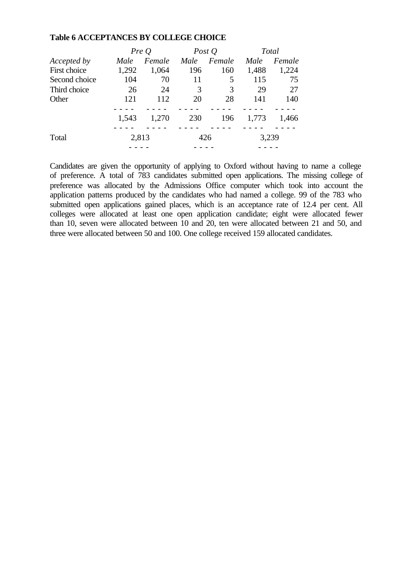#### **Table 6 ACCEPTANCES BY COLLEGE CHOICE**

|                    |       | PreQ   |      | Post $Q$ |       | <b>Total</b> |
|--------------------|-------|--------|------|----------|-------|--------------|
| <i>Accepted by</i> | Male  | Female | Male | Female   | Male  | Female       |
| First choice       | 1,292 | 1,064  | 196  | 160      | 1,488 | 1,224        |
| Second choice      | 104   | 70     | 11   | 5        | 115   | 75           |
| Third choice       | 26    | 24     | 3    | 3        | 29    | 27           |
| Other              | 121   | 112    | 20   | 28       | 141   | 140          |
|                    |       |        |      |          |       |              |
|                    | 1,543 | 1,270  | 230  | 196      | 1,773 | 1,466        |
|                    |       |        |      |          |       |              |
| Total              | 2,813 |        |      | 426      | 3,239 |              |
|                    |       |        |      |          |       |              |

Candidates are given the opportunity of applying to Oxford without having to name a college of preference. A total of 783 candidates submitted open applications. The missing college of preference was allocated by the Admissions Office computer which took into account the application patterns produced by the candidates who had named a college. 99 of the 783 who submitted open applications gained places, which is an acceptance rate of 12.4 per cent. All colleges were allocated at least one open application candidate; eight were allocated fewer than 10, seven were allocated between 10 and 20, ten were allocated between 21 and 50, and three were allocated between 50 and 100. One college received 159 allocated candidates.